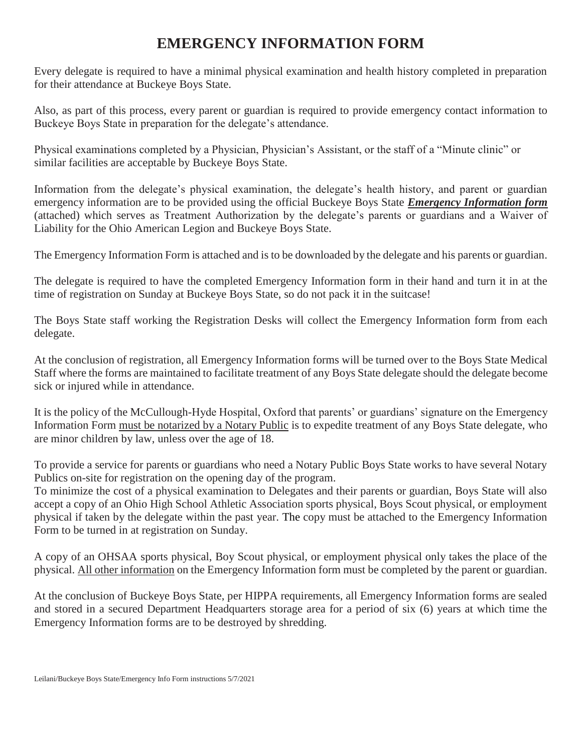## **EMERGENCY INFORMATION FORM**

Every delegate is required to have a minimal physical examination and health history completed in preparation for their attendance at Buckeye Boys State.

Also, as part of this process, every parent or guardian is required to provide emergency contact information to Buckeye Boys State in preparation for the delegate's attendance.

Physical examinations completed by a Physician, Physician's Assistant, or the staff of a "Minute clinic" or similar facilities are acceptable by Buckeye Boys State.

Information from the delegate's physical examination, the delegate's health history, and parent or guardian emergency information are to be provided using the official Buckeye Boys State *Emergency Information form* (attached) which serves as Treatment Authorization by the delegate's parents or guardians and a Waiver of Liability for the Ohio American Legion and Buckeye Boys State.

The Emergency Information Form is attached and is to be downloaded by the delegate and his parents or guardian.

The delegate is required to have the completed Emergency Information form in their hand and turn it in at the time of registration on Sunday at Buckeye Boys State, so do not pack it in the suitcase!

The Boys State staff working the Registration Desks will collect the Emergency Information form from each delegate.

At the conclusion of registration, all Emergency Information forms will be turned over to the Boys State Medical Staff where the forms are maintained to facilitate treatment of any Boys State delegate should the delegate become sick or injured while in attendance.

It is the policy of the McCullough-Hyde Hospital, Oxford that parents' or guardians' signature on the Emergency Information Form must be notarized by a Notary Public is to expedite treatment of any Boys State delegate, who are minor children by law, unless over the age of 18.

To provide a service for parents or guardians who need a Notary Public Boys State works to have several Notary Publics on-site for registration on the opening day of the program.

To minimize the cost of a physical examination to Delegates and their parents or guardian, Boys State will also accept a copy of an Ohio High School Athletic Association sports physical, Boys Scout physical, or employment physical if taken by the delegate within the past year. The copy must be attached to the Emergency Information Form to be turned in at registration on Sunday.

A copy of an OHSAA sports physical, Boy Scout physical, or employment physical only takes the place of the physical. All other information on the Emergency Information form must be completed by the parent or guardian.

At the conclusion of Buckeye Boys State, per HIPPA requirements, all Emergency Information forms are sealed and stored in a secured Department Headquarters storage area for a period of six (6) years at which time the Emergency Information forms are to be destroyed by shredding.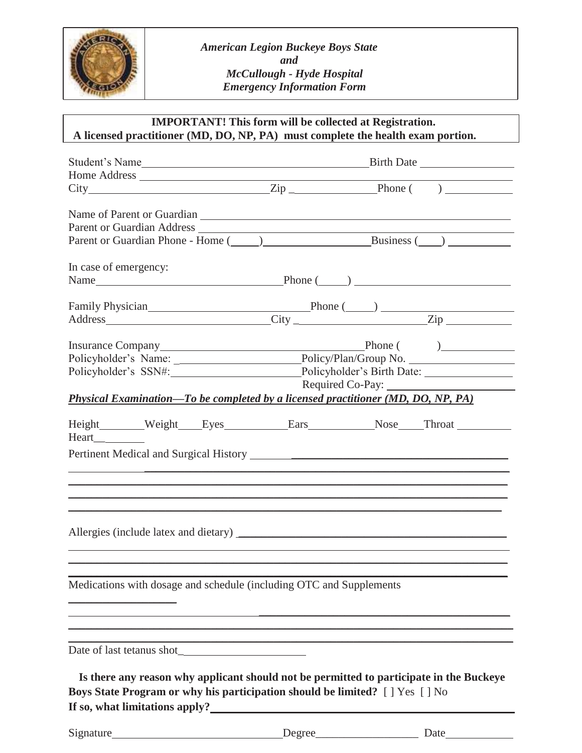

*American Legion Buckeye Boys State and McCullough - Hyde Hospital Emergency Information Form*

## **IMPORTANT! This form will be collected at Registration. A licensed practitioner (MD, DO, NP, PA) must complete the health exam portion.**

| Name of Parent or Guardian Name of Parent or Guardian                                                                                                                                                                                 |                                                                                         |  |  |  |  |
|---------------------------------------------------------------------------------------------------------------------------------------------------------------------------------------------------------------------------------------|-----------------------------------------------------------------------------------------|--|--|--|--|
|                                                                                                                                                                                                                                       |                                                                                         |  |  |  |  |
|                                                                                                                                                                                                                                       | Parent or Guardian Phone - Home (2000) Business (2000)                                  |  |  |  |  |
| In case of emergency:                                                                                                                                                                                                                 |                                                                                         |  |  |  |  |
|                                                                                                                                                                                                                                       |                                                                                         |  |  |  |  |
|                                                                                                                                                                                                                                       |                                                                                         |  |  |  |  |
|                                                                                                                                                                                                                                       |                                                                                         |  |  |  |  |
|                                                                                                                                                                                                                                       |                                                                                         |  |  |  |  |
|                                                                                                                                                                                                                                       |                                                                                         |  |  |  |  |
|                                                                                                                                                                                                                                       |                                                                                         |  |  |  |  |
|                                                                                                                                                                                                                                       | Policyholder's SSN#: Policyholder's Birth Date: ________________________________        |  |  |  |  |
|                                                                                                                                                                                                                                       | Required Co-Pay:                                                                        |  |  |  |  |
| Physical Examination—To be completed by a licensed practitioner (MD, DO, NP, PA)                                                                                                                                                      |                                                                                         |  |  |  |  |
|                                                                                                                                                                                                                                       | Height_______Weight____Eyes___________Ears___________Nose____Throat ____________        |  |  |  |  |
| Heart                                                                                                                                                                                                                                 |                                                                                         |  |  |  |  |
|                                                                                                                                                                                                                                       |                                                                                         |  |  |  |  |
|                                                                                                                                                                                                                                       |                                                                                         |  |  |  |  |
|                                                                                                                                                                                                                                       |                                                                                         |  |  |  |  |
|                                                                                                                                                                                                                                       |                                                                                         |  |  |  |  |
|                                                                                                                                                                                                                                       |                                                                                         |  |  |  |  |
|                                                                                                                                                                                                                                       |                                                                                         |  |  |  |  |
|                                                                                                                                                                                                                                       |                                                                                         |  |  |  |  |
|                                                                                                                                                                                                                                       |                                                                                         |  |  |  |  |
|                                                                                                                                                                                                                                       |                                                                                         |  |  |  |  |
|                                                                                                                                                                                                                                       |                                                                                         |  |  |  |  |
| Medications with dosage and schedule (including OTC and Supplements                                                                                                                                                                   |                                                                                         |  |  |  |  |
|                                                                                                                                                                                                                                       |                                                                                         |  |  |  |  |
|                                                                                                                                                                                                                                       |                                                                                         |  |  |  |  |
| the contract of the contract of the contract of the contract of the contract of the contract of                                                                                                                                       |                                                                                         |  |  |  |  |
|                                                                                                                                                                                                                                       |                                                                                         |  |  |  |  |
|                                                                                                                                                                                                                                       |                                                                                         |  |  |  |  |
|                                                                                                                                                                                                                                       | Is there any reason why applicant should not be permitted to participate in the Buckeye |  |  |  |  |
| Boys State Program or why his participation should be limited? [ ] Yes [ ] No                                                                                                                                                         |                                                                                         |  |  |  |  |
| If so, what limitations apply?<br><u>Let</u> us a set of the set of the set of the set of the set of the set of the set of the set of the set of the set of the set of the set of the set of the set of the set of the set of the set |                                                                                         |  |  |  |  |
|                                                                                                                                                                                                                                       |                                                                                         |  |  |  |  |